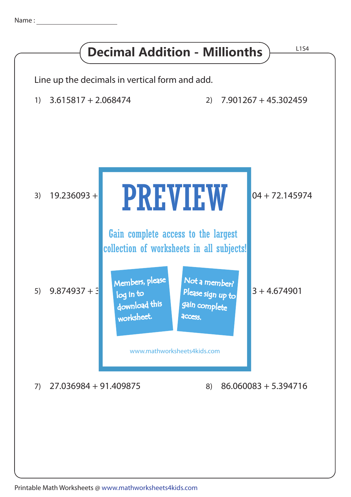